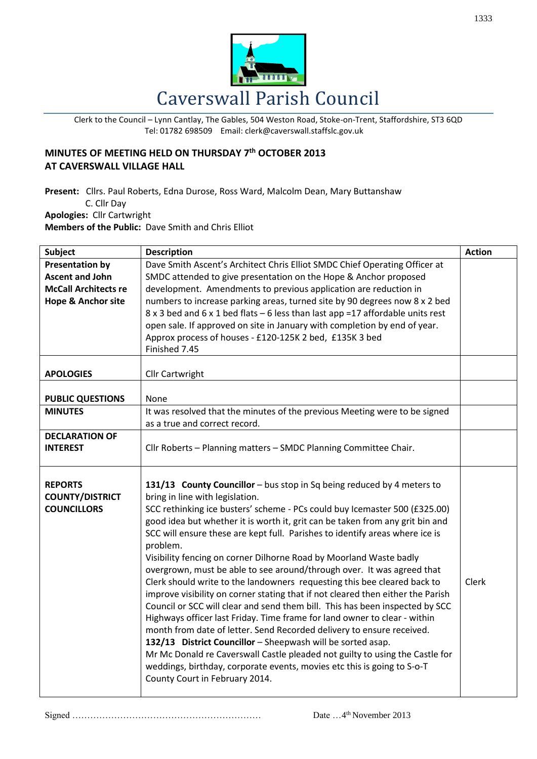

Clerk to the Council – Lynn Cantlay, The Gables, 504 Weston Road, Stoke-on-Trent, Staffordshire, ST3 6QD Tel: 01782 698509 Email: clerk@caverswall.staffslc.gov.uk

## **MINUTES OF MEETING HELD ON THURSDAY 7 th OCTOBER 2013 AT CAVERSWALL VILLAGE HALL**

**Present:** Cllrs. Paul Roberts, Edna Durose, Ross Ward, Malcolm Dean, Mary Buttanshaw C. Cllr Day **Apologies:** Cllr Cartwright

**Members of the Public:** Dave Smith and Chris Elliot

| <b>Subject</b>                | <b>Description</b>                                                              | <b>Action</b> |
|-------------------------------|---------------------------------------------------------------------------------|---------------|
| <b>Presentation by</b>        | Dave Smith Ascent's Architect Chris Elliot SMDC Chief Operating Officer at      |               |
| <b>Ascent and John</b>        | SMDC attended to give presentation on the Hope & Anchor proposed                |               |
| <b>McCall Architects re</b>   | development. Amendments to previous application are reduction in                |               |
| <b>Hope &amp; Anchor site</b> | numbers to increase parking areas, turned site by 90 degrees now 8 x 2 bed      |               |
|                               | 8 x 3 bed and 6 x 1 bed flats - 6 less than last app = 17 affordable units rest |               |
|                               | open sale. If approved on site in January with completion by end of year.       |               |
|                               | Approx process of houses - £120-125K 2 bed, £135K 3 bed                         |               |
|                               | Finished 7.45                                                                   |               |
|                               |                                                                                 |               |
| <b>APOLOGIES</b>              | Cllr Cartwright                                                                 |               |
|                               |                                                                                 |               |
| <b>PUBLIC QUESTIONS</b>       | None                                                                            |               |
| <b>MINUTES</b>                | It was resolved that the minutes of the previous Meeting were to be signed      |               |
|                               | as a true and correct record.                                                   |               |
| <b>DECLARATION OF</b>         |                                                                                 |               |
| <b>INTEREST</b>               | Cllr Roberts - Planning matters - SMDC Planning Committee Chair.                |               |
|                               |                                                                                 |               |
|                               |                                                                                 |               |
| <b>REPORTS</b>                | 131/13 County Councillor - bus stop in Sq being reduced by 4 meters to          |               |
| <b>COUNTY/DISTRICT</b>        | bring in line with legislation.                                                 |               |
| <b>COUNCILLORS</b>            | SCC rethinking ice busters' scheme - PCs could buy Icemaster 500 (£325.00)      |               |
|                               | good idea but whether it is worth it, grit can be taken from any grit bin and   |               |
|                               | SCC will ensure these are kept full. Parishes to identify areas where ice is    |               |
|                               | problem.                                                                        |               |
|                               | Visibility fencing on corner Dilhorne Road by Moorland Waste badly              |               |
|                               | overgrown, must be able to see around/through over. It was agreed that          |               |
|                               | Clerk should write to the landowners requesting this bee cleared back to        | <b>Clerk</b>  |
|                               | improve visibility on corner stating that if not cleared then either the Parish |               |
|                               | Council or SCC will clear and send them bill. This has been inspected by SCC    |               |
|                               | Highways officer last Friday. Time frame for land owner to clear - within       |               |
|                               | month from date of letter. Send Recorded delivery to ensure received.           |               |
|                               | 132/13 District Councillor - Sheepwash will be sorted asap.                     |               |
|                               | Mr Mc Donald re Caverswall Castle pleaded not guilty to using the Castle for    |               |
|                               | weddings, birthday, corporate events, movies etc this is going to S-o-T         |               |
|                               | County Court in February 2014.                                                  |               |
|                               |                                                                                 |               |

Signed ……………………………………………………… Date …4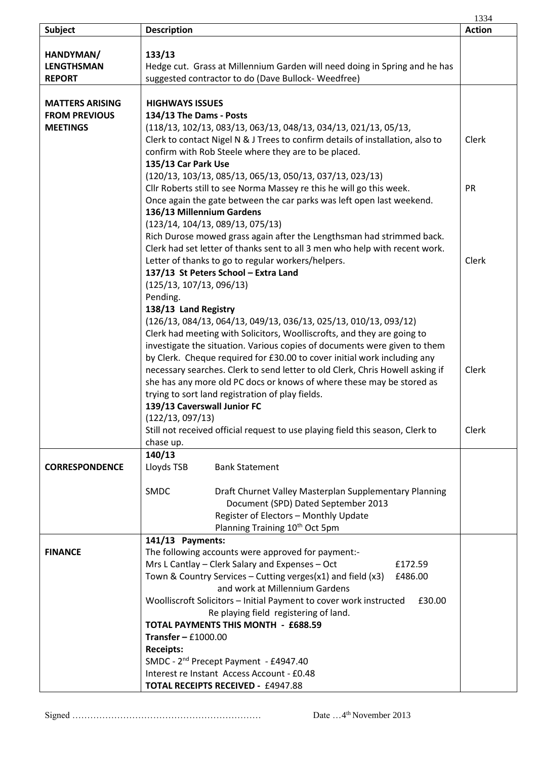|                        |                                                                                | 1334          |
|------------------------|--------------------------------------------------------------------------------|---------------|
| Subject                | <b>Description</b>                                                             | <b>Action</b> |
|                        |                                                                                |               |
| HANDYMAN/              | 133/13                                                                         |               |
| <b>LENGTHSMAN</b>      | Hedge cut. Grass at Millennium Garden will need doing in Spring and he has     |               |
| <b>REPORT</b>          | suggested contractor to do (Dave Bullock-Weedfree)                             |               |
|                        |                                                                                |               |
| <b>MATTERS ARISING</b> | <b>HIGHWAYS ISSUES</b>                                                         |               |
| <b>FROM PREVIOUS</b>   | 134/13 The Dams - Posts                                                        |               |
| <b>MEETINGS</b>        | (118/13, 102/13, 083/13, 063/13, 048/13, 034/13, 021/13, 05/13,                |               |
|                        | Clerk to contact Nigel N & J Trees to confirm details of installation, also to | Clerk         |
|                        | confirm with Rob Steele where they are to be placed.                           |               |
|                        | 135/13 Car Park Use                                                            |               |
|                        |                                                                                |               |
|                        | (120/13, 103/13, 085/13, 065/13, 050/13, 037/13, 023/13)                       |               |
|                        | Cllr Roberts still to see Norma Massey re this he will go this week.           | PR            |
|                        | Once again the gate between the car parks was left open last weekend.          |               |
|                        | 136/13 Millennium Gardens                                                      |               |
|                        | (123/14, 104/13, 089/13, 075/13)                                               |               |
|                        | Rich Durose mowed grass again after the Lengthsman had strimmed back.          |               |
|                        | Clerk had set letter of thanks sent to all 3 men who help with recent work.    |               |
|                        | Letter of thanks to go to regular workers/helpers.                             | Clerk         |
|                        | 137/13 St Peters School - Extra Land                                           |               |
|                        | (125/13, 107/13, 096/13)                                                       |               |
|                        | Pending.                                                                       |               |
|                        | 138/13 Land Registry                                                           |               |
|                        | (126/13, 084/13, 064/13, 049/13, 036/13, 025/13, 010/13, 093/12)               |               |
|                        | Clerk had meeting with Solicitors, Woolliscrofts, and they are going to        |               |
|                        | investigate the situation. Various copies of documents were given to them      |               |
|                        | by Clerk. Cheque required for £30.00 to cover initial work including any       |               |
|                        | necessary searches. Clerk to send letter to old Clerk, Chris Howell asking if  | Clerk         |
|                        | she has any more old PC docs or knows of where these may be stored as          |               |
|                        | trying to sort land registration of play fields.                               |               |
|                        | 139/13 Caverswall Junior FC                                                    |               |
|                        | (122/13, 097/13)                                                               |               |
|                        | Still not received official request to use playing field this season, Clerk to | Clerk         |
|                        | chase up.                                                                      |               |
|                        | 140/13                                                                         |               |
| <b>CORRESPONDENCE</b>  | Lloyds TSB<br><b>Bank Statement</b>                                            |               |
|                        |                                                                                |               |
|                        | SMDC<br>Draft Churnet Valley Masterplan Supplementary Planning                 |               |
|                        | Document (SPD) Dated September 2013                                            |               |
|                        | Register of Electors - Monthly Update                                          |               |
|                        | Planning Training 10 <sup>th</sup> Oct 5pm                                     |               |
|                        | 141/13 Payments:                                                               |               |
| <b>FINANCE</b>         | The following accounts were approved for payment:-                             |               |
|                        | Mrs L Cantlay - Clerk Salary and Expenses - Oct<br>£172.59                     |               |
|                        | Town & Country Services – Cutting verges( $x1$ ) and field ( $x3$ )<br>£486.00 |               |
|                        | and work at Millennium Gardens                                                 |               |
|                        | Woolliscroft Solicitors - Initial Payment to cover work instructed<br>£30.00   |               |
|                        | Re playing field registering of land.                                          |               |
|                        | <b>TOTAL PAYMENTS THIS MONTH - £688.59</b>                                     |               |
|                        | Transfer $-$ £1000.00                                                          |               |
|                        |                                                                                |               |
|                        | <b>Receipts:</b>                                                               |               |
|                        | SMDC - 2 <sup>nd</sup> Precept Payment - £4947.40                              |               |
|                        | Interest re Instant Access Account - £0.48                                     |               |
|                        | TOTAL RECEIPTS RECEIVED - £4947.88                                             |               |

Signed ……………………………………………………… Date …4